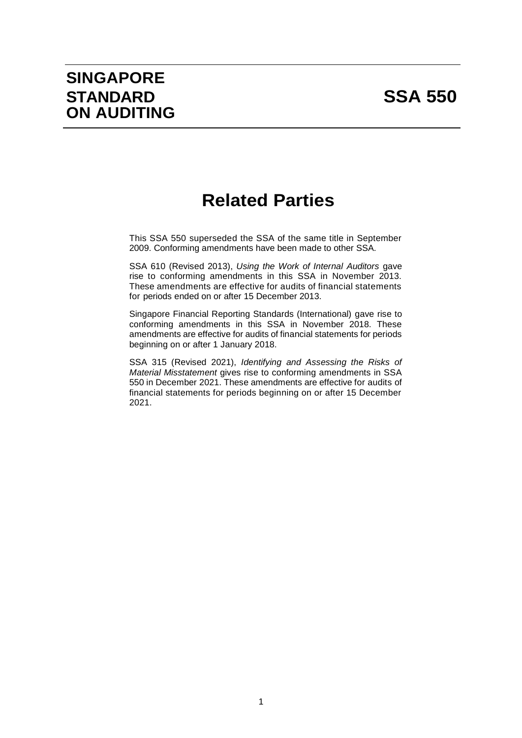# **SINGAPORE STANDARD SSA 550 ON AUDITING**

# **Related Parties**

This SSA 550 superseded the SSA of the same title in September 2009. Conforming amendments have been made to other SSA.

SSA 610 (Revised 2013), *Using the Work of Internal Auditors* gave rise to conforming amendments in this SSA in November 2013. These amendments are effective for audits of financial statements for periods ended on or after 15 December 2013.

Singapore Financial Reporting Standards (International) gave rise to conforming amendments in this SSA in November 2018. These amendments are effective for audits of financial statements for periods beginning on or after 1 January 2018.

SSA 315 (Revised 2021), *Identifying and Assessing the Risks of Material Misstatement* gives rise to conforming amendments in SSA 550 in December 2021. These amendments are effective for audits of financial statements for periods beginning on or after 15 December 2021.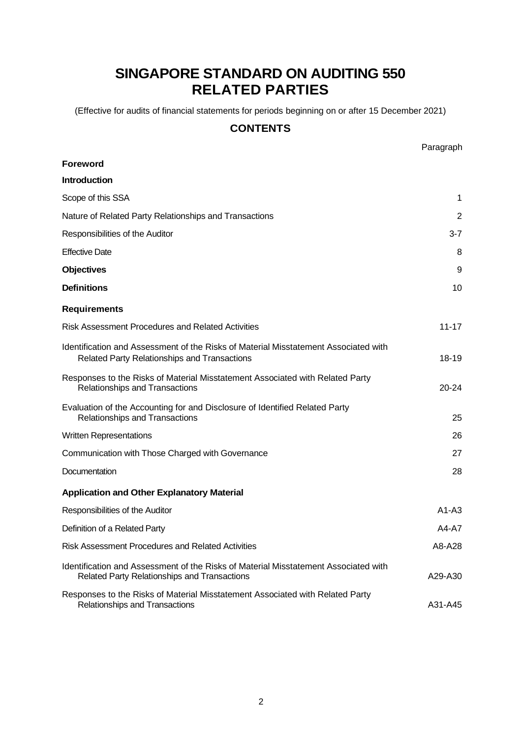## **SINGAPORE STANDARD ON AUDITING 550 RELATED PARTIES**

(Effective for audits of financial statements for periods beginning on or after 15 December 2021)

### **CONTENTS**

Paragraph **Foreword Introduction** Scope of this SSA 1 Nature of Related Party Relationships and Transactions 2 Responsibilities of the Auditor 3-7 Effective Date 88 and 2008 and 2008 and 2008 and 2008 and 2008 and 2008 and 2008 and 2008 and 2008 and 2008 and 2008 and 2008 and 2008 and 2008 and 2008 and 2008 and 2008 and 2008 and 2008 and 2008 and 2008 and 2008 and 20 **Objectives** 9 **Definitions** 10 **Requirements** Risk Assessment Procedures and Related Activities 11-17 17-17 Identification and Assessment of the Risks of Material Misstatement Associated with Related Party Relationships and Transactions 18-19 Responses to the Risks of Material Misstatement Associated with Related Party Relationships and Transactions 20-24 Evaluation of the Accounting for and Disclosure of Identified Related Party Relationships and Transactions 25 Written Representations 26 Communication with Those Charged with Governance 27 Documentation 28 **Application and Other Explanatory Material** Responsibilities of the Auditor Andreas Andreas Andreas Andreas Andreas Andreas Andreas Andreas Andreas Andreas Definition of a Related Party **A4-A7** Risk Assessment Procedures and Related Activities A8-A28 Identification and Assessment of the Risks of Material Misstatement Associated with Related Party Relationships and Transactions A29-A30 Responses to the Risks of Material Misstatement Associated with Related Party Relationships and Transactions A31-A45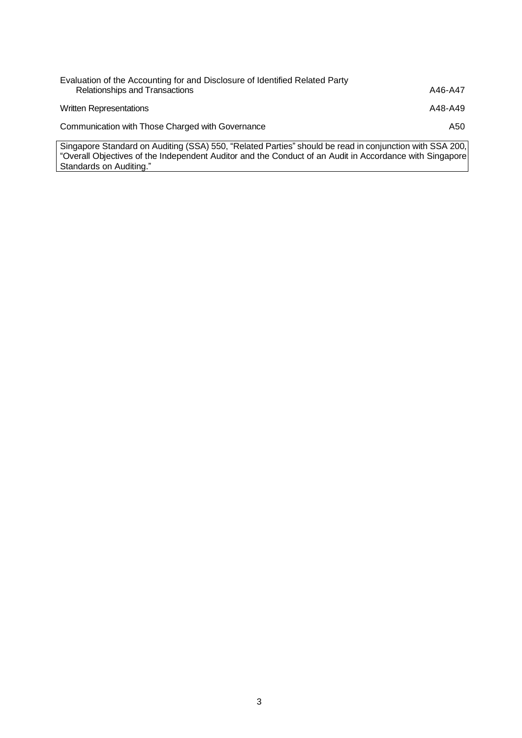| Evaluation of the Accounting for and Disclosure of Identified Related Party<br>Relationships and Transactions | A46-A47 |
|---------------------------------------------------------------------------------------------------------------|---------|
| Written Representations                                                                                       | A48-A49 |
| Communication with Those Charged with Governance                                                              | A50     |
| Cingaporo Standard on Auditing (SSA) EEO "Dolated Darties" should be read in conjunction with SSA 200         |         |

Singapore Standard on Auditing (SSA) 550, "Related Parties" should be read in conjunction with SSA 200, "Overall Objectives of the Independent Auditor and the Conduct of an Audit in Accordance with Singapore Standards on Auditing."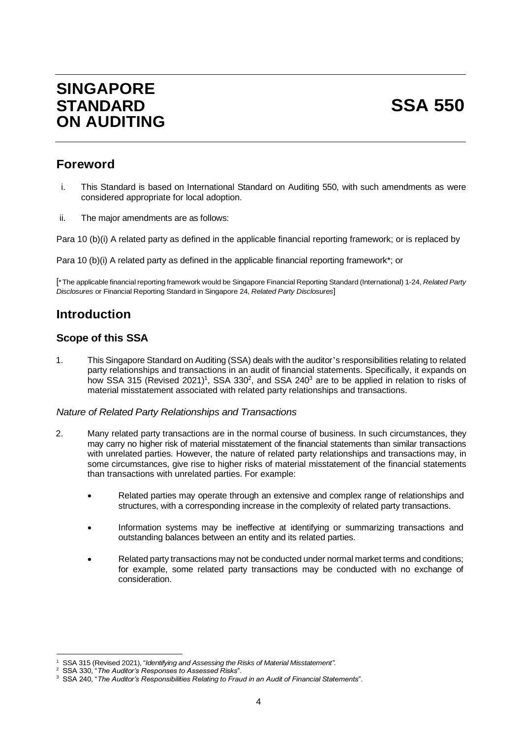# **SINGAPORE STANDARD SSA 550 ON AUDITING**

### **Foreword**

- i. This Standard is based on International Standard on Auditing 550, with such amendments as were considered appropriate for local adoption.
- ii. The major amendments are as follows:

Para 10 (b)(i) A related party as defined in the applicable financial reporting framework; or is replaced by

Para 10 (b)(i) A related party as defined in the applicable financial reporting framework\*; or

[\*The applicable financial reporting framework would be Singapore Financial Reporting Standard (International) 1-24, *Related Party Disclosures* or Financial Reporting Standard in Singapore 24, *Related Party Disclosures*]

### **Introduction**

### **Scope of this SSA**

1. This Singapore Standard on Auditing (SSA) deals with the auditor's responsibilities relating to related party relationships and transactions in an audit of financial statements. Specifically, it expands on how SSA 315 (Revised 2021)<sup>1</sup>, SSA 330<sup>2</sup>, and SSA 240<sup>3</sup> are to be applied in relation to risks of material misstatement associated with related party relationships and transactions.

### *Nature of Related Party Relationships and Transactions*

- 2. Many related party transactions are in the normal course of business. In such circumstances, they may carry no higher risk of material misstatement of the financial statements than similar transactions with unrelated parties. However, the nature of related party relationships and transactions may, in some circumstances, give rise to higher risks of material misstatement of the financial statements than transactions with unrelated parties. For example:
	- Related parties may operate through an extensive and complex range of relationships and structures, with a corresponding increase in the complexity of related party transactions.
	- Information systems may be ineffective at identifying or summarizing transactions and outstanding balances between an entity and its related parties.
	- Related party transactions may not be conducted under normal market terms and conditions; for example, some related party transactions may be conducted with no exchange of consideration.

<sup>1</sup> SSA 315 (Revised 2021), "*Identifying and Assessing the Risks of Material Misstatement"*.

<sup>2</sup> SSA 330, "*The Auditor's Responses to Assessed Risks*".

<sup>3</sup> SSA 240, "*The Auditor's Responsibilities Relating to Fraud in an Audit of Financial Statements*".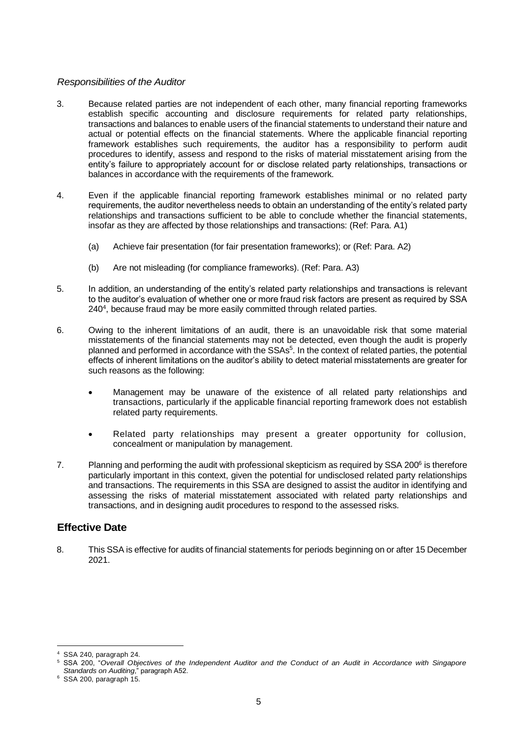### *Responsibilities of the Auditor*

- 3. Because related parties are not independent of each other, many financial reporting frameworks establish specific accounting and disclosure requirements for related party relationships, transactions and balances to enable users of the financial statements to understand their nature and actual or potential effects on the financial statements. Where the applicable financial reporting framework establishes such requirements, the auditor has a responsibility to perform audit procedures to identify, assess and respond to the risks of material misstatement arising from the entity's failure to appropriately account for or disclose related party relationships, transactions or balances in accordance with the requirements of the framework.
- 4. Even if the applicable financial reporting framework establishes minimal or no related party requirements, the auditor nevertheless needs to obtain an understanding of the entity's related party relationships and transactions sufficient to be able to conclude whether the financial statements, insofar as they are affected by those relationships and transactions: (Ref: Para. A1)
	- (a) Achieve fair presentation (for fair presentation frameworks); or (Ref: Para. A2)
	- (b) Are not misleading (for compliance frameworks). (Ref: Para. A3)
- 5. In addition, an understanding of the entity's related party relationships and transactions is relevant to the auditor's evaluation of whether one or more fraud risk factors are present as required by SSA 240<sup>4</sup>, because fraud may be more easily committed through related parties.
- 6. Owing to the inherent limitations of an audit, there is an unavoidable risk that some material misstatements of the financial statements may not be detected, even though the audit is properly planned and performed in accordance with the SSAs<sup>5</sup>. In the context of related parties, the potential effects of inherent limitations on the auditor's ability to detect material misstatements are greater for such reasons as the following:
	- Management may be unaware of the existence of all related party relationships and transactions, particularly if the applicable financial reporting framework does not establish related party requirements.
	- Related party relationships may present a greater opportunity for collusion, concealment or manipulation by management.
- 7. Planning and performing the audit with professional skepticism as required by SSA 200<sup>6</sup> is therefore particularly important in this context, given the potential for undisclosed related party relationships and transactions. The requirements in this SSA are designed to assist the auditor in identifying and assessing the risks of material misstatement associated with related party relationships and transactions, and in designing audit procedures to respond to the assessed risks.

### **Effective Date**

8. This SSA is effective for audits of financial statements for periods beginning on or after 15 December 2021.

SSA 240, paragraph 24.

<sup>5</sup> SSA 200, "*Overall Objectives of the Independent Auditor and the Conduct of an Audit in Accordance with Singapore Standards on Auditing*," paragraph A52.

<sup>6</sup> SSA 200, paragraph 15.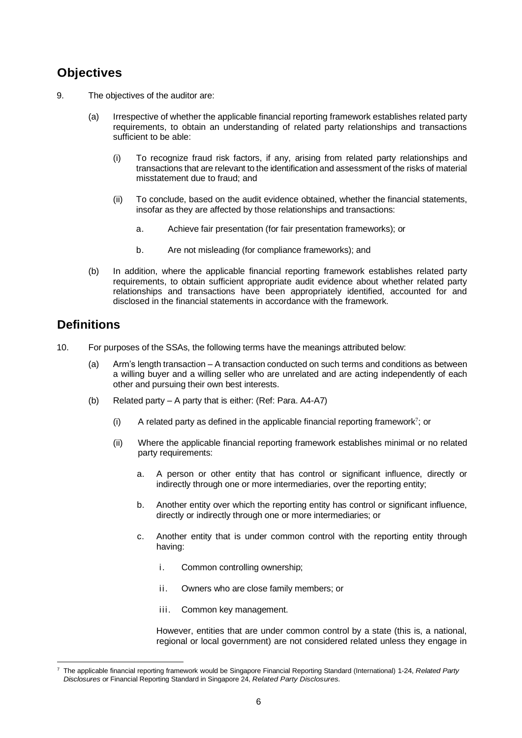### **Objectives**

- 9. The objectives of the auditor are:
	- (a) Irrespective of whether the applicable financial reporting framework establishes related party requirements, to obtain an understanding of related party relationships and transactions sufficient to be able:
		- (i) To recognize fraud risk factors, if any, arising from related party relationships and transactions that are relevant to the identification and assessment of the risks of material misstatement due to fraud; and
		- (ii) To conclude, based on the audit evidence obtained, whether the financial statements, insofar as they are affected by those relationships and transactions:
			- a. Achieve fair presentation (for fair presentation frameworks); or
			- b. Are not misleading (for compliance frameworks); and
	- (b) In addition, where the applicable financial reporting framework establishes related party requirements, to obtain sufficient appropriate audit evidence about whether related party relationships and transactions have been appropriately identified, accounted for and disclosed in the financial statements in accordance with the framework.

### **Definitions**

- 10. For purposes of the SSAs, the following terms have the meanings attributed below:
	- (a) Arm's length transaction A transaction conducted on such terms and conditions as between a willing buyer and a willing seller who are unrelated and are acting independently of each other and pursuing their own best interests.
	- (b) Related party A party that is either: (Ref: Para. A4-A7)
		- (i) A related party as defined in the applicable financial reporting framework<sup>7</sup>; or
		- (ii) Where the applicable financial reporting framework establishes minimal or no related party requirements:
			- a. A person or other entity that has control or significant influence, directly or indirectly through one or more intermediaries, over the reporting entity;
			- b. Another entity over which the reporting entity has control or significant influence, directly or indirectly through one or more intermediaries; or
			- c. Another entity that is under common control with the reporting entity through having:
				- i. Common controlling ownership;
				- ii. Owners who are close family members; or
				- iii. Common key management.

However, entities that are under common control by a state (this is, a national, regional or local government) are not considered related unless they engage in

<sup>7</sup> The applicable financial reporting framework would be Singapore Financial Reporting Standard (International) 1-24, *Related Party Disclosures* or Financial Reporting Standard in Singapore 24, *Related Party Disclosures.*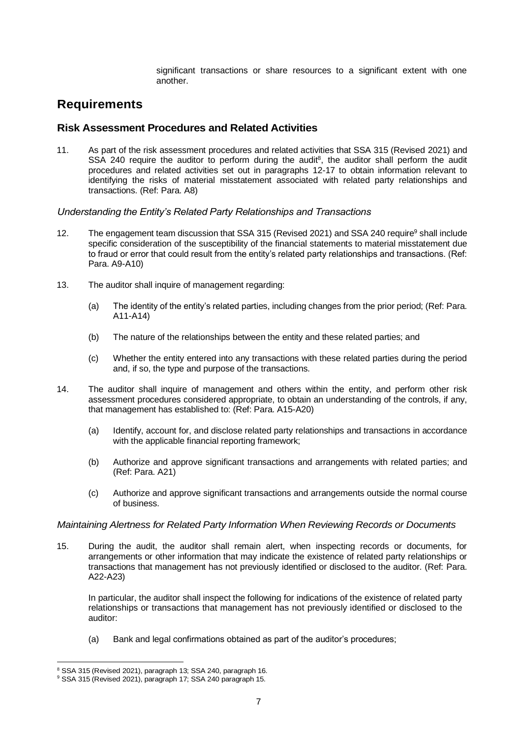significant transactions or share resources to a significant extent with one another.

### **Requirements**

### **Risk Assessment Procedures and Related Activities**

11. As part of the risk assessment procedures and related activities that SSA 315 (Revised 2021) and SSA 240 require the auditor to perform during the audit<sup>8</sup>, the auditor shall perform the audit procedures and related activities set out in paragraphs 12-17 to obtain information relevant to identifying the risks of material misstatement associated with related party relationships and transactions. (Ref: Para. A8)

### *Understanding the Entity's Related Party Relationships and Transactions*

- 12. The engagement team discussion that SSA 315 (Revised 2021) and SSA 240 require<sup>9</sup> shall include specific consideration of the susceptibility of the financial statements to material misstatement due to fraud or error that could result from the entity's related party relationships and transactions. (Ref: Para. A9-A10)
- 13. The auditor shall inquire of management regarding:
	- (a) The identity of the entity's related parties, including changes from the prior period; (Ref: Para. A11-A14)
	- (b) The nature of the relationships between the entity and these related parties; and
	- (c) Whether the entity entered into any transactions with these related parties during the period and, if so, the type and purpose of the transactions.
- 14. The auditor shall inquire of management and others within the entity, and perform other risk assessment procedures considered appropriate, to obtain an understanding of the controls, if any, that management has established to: (Ref: Para. A15-A20)
	- (a) Identify, account for, and disclose related party relationships and transactions in accordance with the applicable financial reporting framework;
	- (b) Authorize and approve significant transactions and arrangements with related parties; and (Ref: Para. A21)
	- (c) Authorize and approve significant transactions and arrangements outside the normal course of business.

### *Maintaining Alertness for Related Party Information When Reviewing Records or Documents*

15. During the audit, the auditor shall remain alert, when inspecting records or documents, for arrangements or other information that may indicate the existence of related party relationships or transactions that management has not previously identified or disclosed to the auditor. (Ref: Para. A22-A23)

In particular, the auditor shall inspect the following for indications of the existence of related party relationships or transactions that management has not previously identified or disclosed to the auditor:

(a) Bank and legal confirmations obtained as part of the auditor's procedures;

<sup>&</sup>lt;sup>8</sup> SSA 315 (Revised 2021), paragraph 13; SSA 240, paragraph 16.

<sup>&</sup>lt;sup>9</sup> SSA 315 (Revised 2021), paragraph 17; SSA 240 paragraph 15.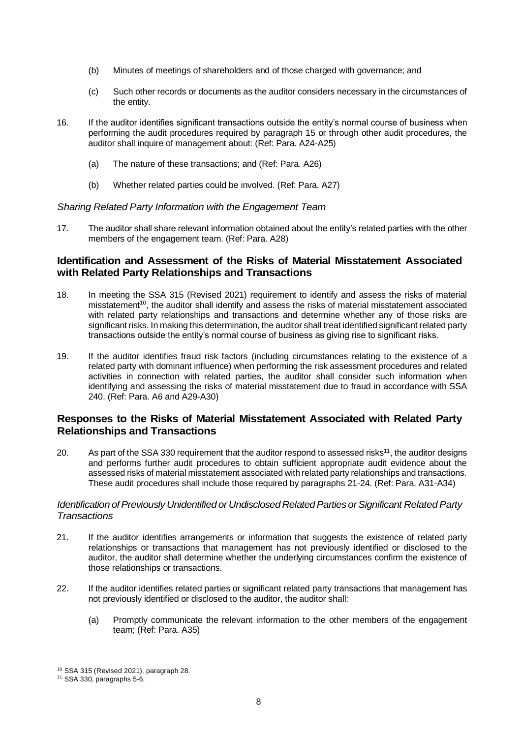- (b) Minutes of meetings of shareholders and of those charged with governance; and
- (c) Such other records or documents as the auditor considers necessary in the circumstances of the entity.
- 16. If the auditor identifies significant transactions outside the entity's normal course of business when performing the audit procedures required by paragraph 15 or through other audit procedures, the auditor shall inquire of management about: (Ref: Para. A24-A25)
	- (a) The nature of these transactions; and (Ref: Para. A26)
	- (b) Whether related parties could be involved. (Ref: Para. A27)

### *Sharing Related Party Information with the Engagement Team*

17. The auditor shall share relevant information obtained about the entity's related parties with the other members of the engagement team. (Ref: Para. A28)

### **Identification and Assessment of the Risks of Material Misstatement Associated with Related Party Relationships and Transactions**

- 18. In meeting the SSA 315 (Revised 2021) requirement to identify and assess the risks of material misstatement<sup>10</sup>, the auditor shall identify and assess the risks of material misstatement associated with related party relationships and transactions and determine whether any of those risks are significant risks. In making this determination, the auditor shall treat identified significant related party transactions outside the entity's normal course of business as giving rise to significant risks.
- 19. If the auditor identifies fraud risk factors (including circumstances relating to the existence of a related party with dominant influence) when performing the risk assessment procedures and related activities in connection with related parties, the auditor shall consider such information when identifying and assessing the risks of material misstatement due to fraud in accordance with SSA 240. (Ref: Para. A6 and A29-A30)

### **Responses to the Risks of Material Misstatement Associated with Related Party Relationships and Transactions**

20. As part of the SSA 330 requirement that the auditor respond to assessed risks<sup>11</sup>, the auditor designs and performs further audit procedures to obtain sufficient appropriate audit evidence about the assessed risks of material misstatement associated with related party relationships and transactions. These audit procedures shall include those required by paragraphs 21-24. (Ref: Para. A31-A34)

### *Identification of Previously Unidentified or Undisclosed Related Parties or Significant Related Party Transactions*

- 21. If the auditor identifies arrangements or information that suggests the existence of related party relationships or transactions that management has not previously identified or disclosed to the auditor, the auditor shall determine whether the underlying circumstances confirm the existence of those relationships or transactions.
- 22. If the auditor identifies related parties or significant related party transactions that management has not previously identified or disclosed to the auditor, the auditor shall:
	- (a) Promptly communicate the relevant information to the other members of the engagement team; (Ref: Para. A35)

<sup>10</sup> SSA 315 (Revised 2021), paragraph 28.

 $11$  SSA 330, paragraphs 5-6.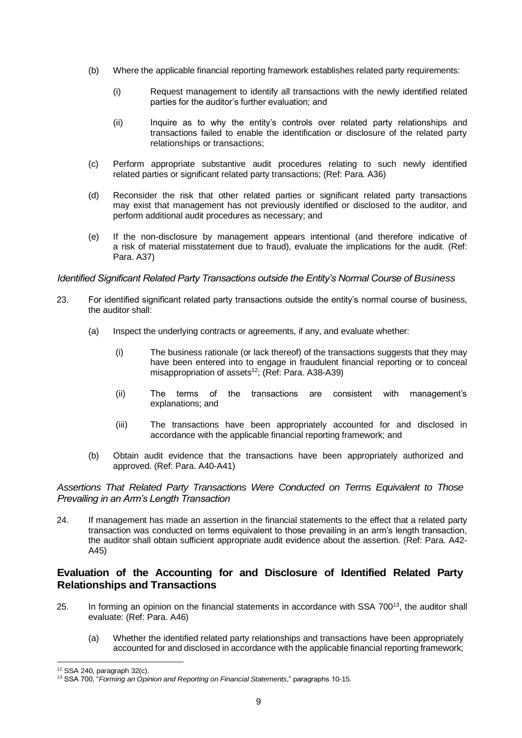- (b) Where the applicable financial reporting framework establishes related party requirements:
	- (i) Request management to identify all transactions with the newly identified related parties for the auditor's further evaluation; and
	- (ii) Inquire as to why the entity's controls over related party relationships and transactions failed to enable the identification or disclosure of the related party relationships or transactions;
- (c) Perform appropriate substantive audit procedures relating to such newly identified related parties or significant related party transactions; (Ref: Para. A36)
- (d) Reconsider the risk that other related parties or significant related party transactions may exist that management has not previously identified or disclosed to the auditor, and perform additional audit procedures as necessary; and
- (e) If the non-disclosure by management appears intentional (and therefore indicative of a risk of material misstatement due to fraud), evaluate the implications for the audit. (Ref: Para. A37)

### *Identified Significant Related Party Transactions outside the Entity's Normal Course of Business*

- 23. For identified significant related party transactions outside the entity's normal course of business, the auditor shall:
	- (a) Inspect the underlying contracts or agreements, if any, and evaluate whether:
		- (i) The business rationale (or lack thereof) of the transactions suggests that they may have been entered into to engage in fraudulent financial reporting or to conceal misappropriation of assets $12$ ; (Ref: Para. A38-A39)
		- (ii) The terms of the transactions are consistent with management's explanations; and
		- (iii) The transactions have been appropriately accounted for and disclosed in accordance with the applicable financial reporting framework; and
	- (b) Obtain audit evidence that the transactions have been appropriately authorized and approved. (Ref: Para. A40-A41)

*Assertions That Related Party Transactions Were Conducted on Terms Equivalent to Those Prevailing in an Arm's Length Transaction*

24. If management has made an assertion in the financial statements to the effect that a related party transaction was conducted on terms equivalent to those prevailing in an arm's length transaction, the auditor shall obtain sufficient appropriate audit evidence about the assertion. (Ref: Para. A42- A45)

### **Evaluation of the Accounting for and Disclosure of Identified Related Party Relationships and Transactions**

- 25. In forming an opinion on the financial statements in accordance with SSA 700<sup>13</sup>, the auditor shall evaluate: (Ref: Para. A46)
	- (a) Whether the identified related party relationships and transactions have been appropriately accounted for and disclosed in accordance with the applicable financial reporting framework;

<sup>12</sup> SSA 240, paragraph 32(c).

<sup>13</sup> SSA 700, "*Forming an Opinion and Reporting on Financial Statements*," paragraphs 10-15.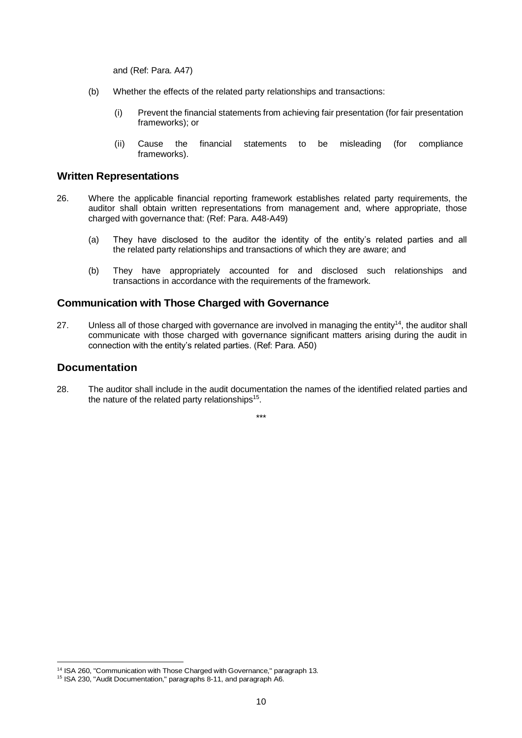and (Ref: Para. A47)

- (b) Whether the effects of the related party relationships and transactions:
	- (i) Prevent the financial statements from achieving fair presentation (for fair presentation frameworks); or
	- (ii) Cause the financial statements to be misleading (for compliance frameworks).

### **Written Representations**

- 26. Where the applicable financial reporting framework establishes related party requirements, the auditor shall obtain written representations from management and, where appropriate, those charged with governance that: (Ref: Para. A48-A49)
	- (a) They have disclosed to the auditor the identity of the entity's related parties and all the related party relationships and transactions of which they are aware; and
	- (b) They have appropriately accounted for and disclosed such relationships and transactions in accordance with the requirements of the framework.

### **Communication with Those Charged with Governance**

27. Unless all of those charged with governance are involved in managing the entity<sup>14</sup>, the auditor shall communicate with those charged with governance significant matters arising during the audit in connection with the entity's related parties. (Ref: Para. A50)

### **Documentation**

28. The auditor shall include in the audit documentation the names of the identified related parties and the nature of the related party relationships<sup>15</sup>.

\*\*\*

<sup>&</sup>lt;sup>14</sup> ISA 260, "Communication with Those Charged with Governance," paragraph 13.

<sup>15</sup> ISA 230, "Audit Documentation," paragraphs 8-11, and paragraph A6.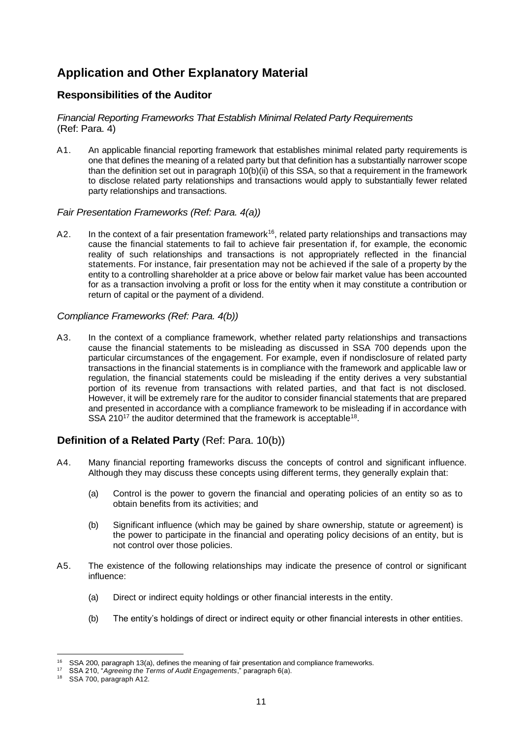## **Application and Other Explanatory Material**

### **Responsibilities of the Auditor**

*Financial Reporting Frameworks That Establish Minimal Related Party Requirements*  (Ref: Para. 4)

A1. An applicable financial reporting framework that establishes minimal related party requirements is one that defines the meaning of a related party but that definition has a substantially narrower scope than the definition set out in paragraph 10(b)(ii) of this SSA, so that a requirement in the framework to disclose related party relationships and transactions would apply to substantially fewer related party relationships and transactions.

### *Fair Presentation Frameworks (Ref: Para. 4(a))*

A2. In the context of a fair presentation framework<sup>16</sup>, related party relationships and transactions mav cause the financial statements to fail to achieve fair presentation if, for example, the economic reality of such relationships and transactions is not appropriately reflected in the financial statements. For instance, fair presentation may not be achieved if the sale of a property by the entity to a controlling shareholder at a price above or below fair market value has been accounted for as a transaction involving a profit or loss for the entity when it may constitute a contribution or return of capital or the payment of a dividend.

### *Compliance Frameworks (Ref: Para. 4(b))*

A3. In the context of a compliance framework, whether related party relationships and transactions cause the financial statements to be misleading as discussed in SSA 700 depends upon the particular circumstances of the engagement. For example, even if nondisclosure of related party transactions in the financial statements is in compliance with the framework and applicable law or regulation, the financial statements could be misleading if the entity derives a very substantial portion of its revenue from transactions with related parties, and that fact is not disclosed. However, it will be extremely rare for the auditor to consider financial statements that are prepared and presented in accordance with a compliance framework to be misleading if in accordance with SSA 210<sup>17</sup> the auditor determined that the framework is acceptable<sup>18</sup>.

### **Definition of a Related Party** (Ref: Para. 10(b))

- A4. Many financial reporting frameworks discuss the concepts of control and significant influence. Although they may discuss these concepts using different terms, they generally explain that:
	- (a) Control is the power to govern the financial and operating policies of an entity so as to obtain benefits from its activities; and
	- (b) Significant influence (which may be gained by share ownership, statute or agreement) is the power to participate in the financial and operating policy decisions of an entity, but is not control over those policies.
- A5. The existence of the following relationships may indicate the presence of control or significant influence:
	- (a) Direct or indirect equity holdings or other financial interests in the entity.
	- (b) The entity's holdings of direct or indirect equity or other financial interests in other entities.

<sup>&</sup>lt;sup>16</sup> SSA 200, paragraph 13(a), defines the meaning of fair presentation and compliance frameworks.<br><sup>17</sup> SSA 210, "*Agrosing the Terms of Augli Engaggments*," paragraph  $f(s)$ 

<sup>17</sup> SSA 210, "*Agreeing the Terms of Audit Engagements*," paragraph 6(a).

SSA 700, paragraph A12.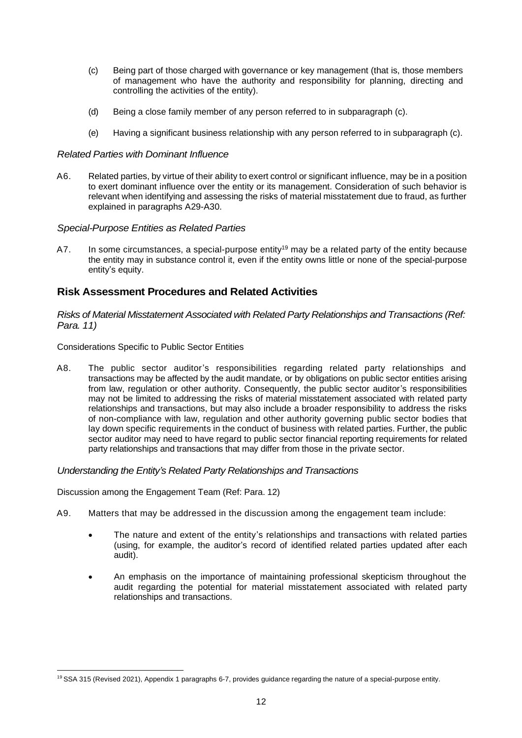- (c) Being part of those charged with governance or key management (that is, those members of management who have the authority and responsibility for planning, directing and controlling the activities of the entity).
- (d) Being a close family member of any person referred to in subparagraph (c).
- (e) Having a significant business relationship with any person referred to in subparagraph (c).

#### *Related Parties with Dominant Influence*

A6. Related parties, by virtue of their ability to exert control or significant influence, may be in a position to exert dominant influence over the entity or its management. Consideration of such behavior is relevant when identifying and assessing the risks of material misstatement due to fraud, as further explained in paragraphs A29-A30.

### *Special-Purpose Entities as Related Parties*

A7. In some circumstances, a special-purpose entity<sup>19</sup> may be a related party of the entity because the entity may in substance control it, even if the entity owns little or none of the special-purpose entity's equity.

### **Risk Assessment Procedures and Related Activities**

### *Risks of Material Misstatement Associated with Related Party Relationships and Transactions (Ref: Para. 11)*

#### Considerations Specific to Public Sector Entities

A8. The public sector auditor's responsibilities regarding related party relationships and transactions may be affected by the audit mandate, or by obligations on public sector entities arising from law, regulation or other authority. Consequently, the public sector auditor's responsibilities may not be limited to addressing the risks of material misstatement associated with related party relationships and transactions, but may also include a broader responsibility to address the risks of non-compliance with law, regulation and other authority governing public sector bodies that lay down specific requirements in the conduct of business with related parties. Further, the public sector auditor may need to have regard to public sector financial reporting requirements for related party relationships and transactions that may differ from those in the private sector.

### *Understanding the Entity's Related Party Relationships and Transactions*

Discussion among the Engagement Team (Ref: Para. 12)

- A9. Matters that may be addressed in the discussion among the engagement team include:
	- The nature and extent of the entity's relationships and transactions with related parties (using, for example, the auditor's record of identified related parties updated after each audit).
	- An emphasis on the importance of maintaining professional skepticism throughout the audit regarding the potential for material misstatement associated with related party relationships and transactions.

 $19$  SSA 315 (Revised 2021), Appendix 1 paragraphs 6-7, provides guidance regarding the nature of a special-purpose entity.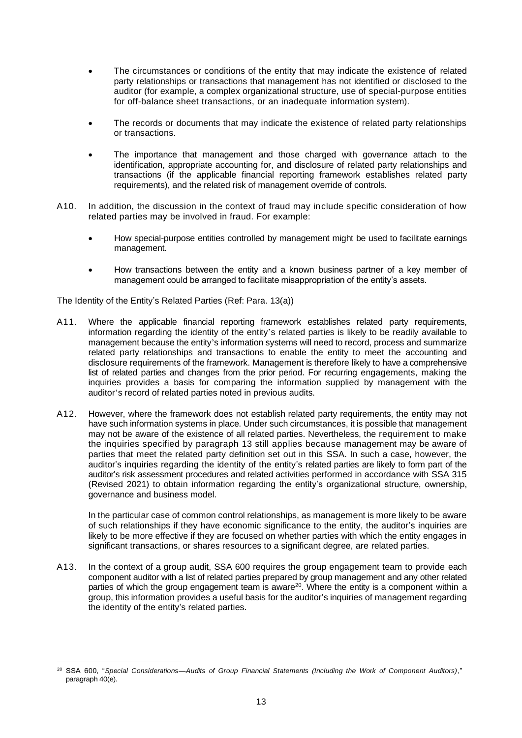- The circumstances or conditions of the entity that may indicate the existence of related party relationships or transactions that management has not identified or disclosed to the auditor (for example, a complex organizational structure, use of special-purpose entities for off-balance sheet transactions, or an inadequate information system).
- The records or documents that may indicate the existence of related party relationships or transactions.
- The importance that management and those charged with governance attach to the identification, appropriate accounting for, and disclosure of related party relationships and transactions (if the applicable financial reporting framework establishes related party requirements), and the related risk of management override of controls.
- A10. In addition, the discussion in the context of fraud may include specific consideration of how related parties may be involved in fraud. For example:
	- How special-purpose entities controlled by management might be used to facilitate earnings management.
	- How transactions between the entity and a known business partner of a key member of management could be arranged to facilitate misappropriation of the entity's assets.

The Identity of the Entity's Related Parties (Ref: Para. 13(a))

- A11. Where the applicable financial reporting framework establishes related party requirements, information regarding the identity of the entity's related parties is likely to be readily available to management because the entity's information systems will need to record, process and summarize related party relationships and transactions to enable the entity to meet the accounting and disclosure requirements of the framework. Management is therefore likely to have a comprehensive list of related parties and changes from the prior period. For recurring engagements, making the inquiries provides a basis for comparing the information supplied by management with the auditor's record of related parties noted in previous audits.
- A12. However, where the framework does not establish related party requirements, the entity may not have such information systems in place. Under such circumstances, it is possible that management may not be aware of the existence of all related parties. Nevertheless, the requirement to make the inquiries specified by paragraph 13 still applies because management may be aware of parties that meet the related party definition set out in this SSA. In such a case, however, the auditor's inquiries regarding the identity of the entity's related parties are likely to form part of the auditor's risk assessment procedures and related activities performed in accordance with SSA 315 (Revised 2021) to obtain information regarding the entity's organizational structure, ownership, governance and business model.

In the particular case of common control relationships, as management is more likely to be aware of such relationships if they have economic significance to the entity, the auditor's inquiries are likely to be more effective if they are focused on whether parties with which the entity engages in significant transactions, or shares resources to a significant degree, are related parties.

A13. In the context of a group audit, SSA 600 requires the group engagement team to provide each component auditor with a list of related parties prepared by group management and any other related parties of which the group engagement team is aware<sup>20</sup>. Where the entity is a component within a group, this information provides a useful basis for the auditor's inquiries of management regarding the identity of the entity's related parties.

<sup>20</sup> SSA 600, "*Special Considerations—Audits of Group Financial Statements (Including the Work of Component Auditors)*," paragraph 40(e).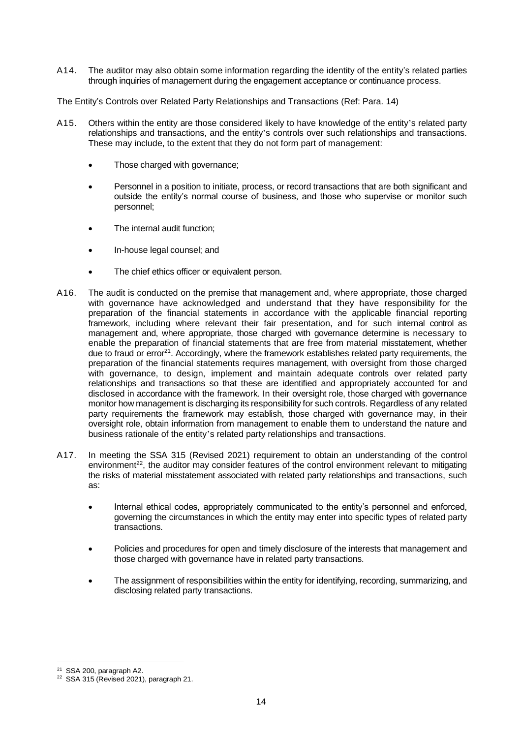A14. The auditor may also obtain some information regarding the identity of the entity's related parties through inquiries of management during the engagement acceptance or continuance process.

The Entity's Controls over Related Party Relationships and Transactions (Ref: Para. 14)

- A15. Others within the entity are those considered likely to have knowledge of the entity's related party relationships and transactions, and the entity's controls over such relationships and transactions. These may include, to the extent that they do not form part of management:
	- Those charged with governance;
	- Personnel in a position to initiate, process, or record transactions that are both significant and outside the entity's normal course of business, and those who supervise or monitor such personnel;
	- The internal audit function;
	- In-house legal counsel; and
	- The chief ethics officer or equivalent person.
- A16. The audit is conducted on the premise that management and, where appropriate, those charged with governance have acknowledged and understand that they have responsibility for the preparation of the financial statements in accordance with the applicable financial reporting framework, including where relevant their fair presentation, and for such internal control as management and, where appropriate, those charged with governance determine is necessary to enable the preparation of financial statements that are free from material misstatement, whether due to fraud or error<sup>21</sup>. Accordingly, where the framework establishes related party requirements, the preparation of the financial statements requires management, with oversight from those charged with governance, to design, implement and maintain adequate controls over related party relationships and transactions so that these are identified and appropriately accounted for and disclosed in accordance with the framework. In their oversight role, those charged with governance monitor how management is discharging its responsibility for such controls. Regardless of any related party requirements the framework may establish, those charged with governance may, in their oversight role, obtain information from management to enable them to understand the nature and business rationale of the entity's related party relationships and transactions.
- A17. In meeting the SSA 315 (Revised 2021) requirement to obtain an understanding of the control environment<sup>22</sup>, the auditor may consider features of the control environment relevant to mitigating the risks of material misstatement associated with related party relationships and transactions, such as:
	- Internal ethical codes, appropriately communicated to the entity's personnel and enforced, governing the circumstances in which the entity may enter into specific types of related party transactions.
	- Policies and procedures for open and timely disclosure of the interests that management and those charged with governance have in related party transactions.
	- The assignment of responsibilities within the entity for identifying, recording, summarizing, and disclosing related party transactions.

<sup>21</sup> SSA 200, paragraph A2.

 $22$  SSA 315 (Revised 2021), paragraph 21.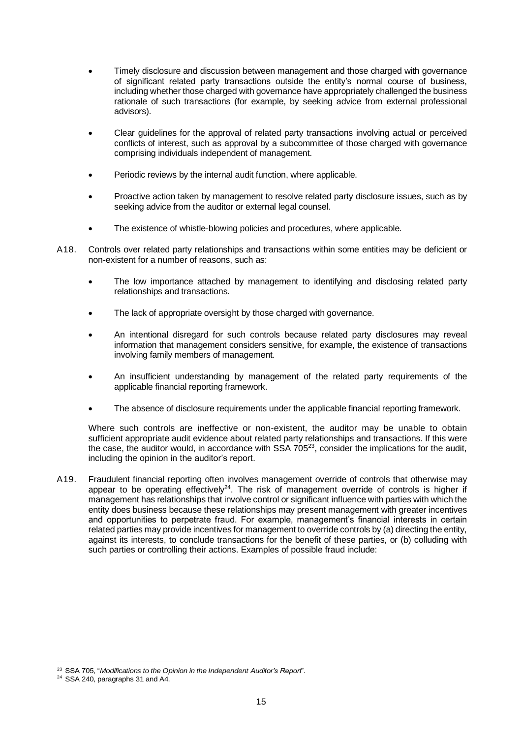- Timely disclosure and discussion between management and those charged with governance of significant related party transactions outside the entity's normal course of business, including whether those charged with governance have appropriately challenged the business rationale of such transactions (for example, by seeking advice from external professional advisors).
- Clear guidelines for the approval of related party transactions involving actual or perceived conflicts of interest, such as approval by a subcommittee of those charged with governance comprising individuals independent of management.
- Periodic reviews by the internal audit function, where applicable.
- Proactive action taken by management to resolve related party disclosure issues, such as by seeking advice from the auditor or external legal counsel.
- The existence of whistle-blowing policies and procedures, where applicable.
- A18. Controls over related party relationships and transactions within some entities may be deficient or non-existent for a number of reasons, such as:
	- The low importance attached by management to identifying and disclosing related party relationships and transactions.
	- The lack of appropriate oversight by those charged with governance.
	- An intentional disregard for such controls because related party disclosures may reveal information that management considers sensitive, for example, the existence of transactions involving family members of management.
	- An insufficient understanding by management of the related party requirements of the applicable financial reporting framework.
	- The absence of disclosure requirements under the applicable financial reporting framework.

Where such controls are ineffective or non-existent, the auditor may be unable to obtain sufficient appropriate audit evidence about related party relationships and transactions. If this were the case, the auditor would, in accordance with SSA 705<sup>23</sup>, consider the implications for the audit, including the opinion in the auditor's report.

A19. Fraudulent financial reporting often involves management override of controls that otherwise may appear to be operating effectively<sup>24</sup>. The risk of management override of controls is higher if management has relationships that involve control or significant influence with parties with which the entity does business because these relationships may present management with greater incentives and opportunities to perpetrate fraud. For example, management's financial interests in certain related parties may provide incentives for management to override controls by (a) directing the entity, against its interests, to conclude transactions for the benefit of these parties, or (b) colluding with such parties or controlling their actions. Examples of possible fraud include:

<sup>23</sup> SSA 705, "*Modifications to the Opinion in the Independent Auditor's Report*".

<sup>&</sup>lt;sup>24</sup> SSA 240, paragraphs 31 and A4.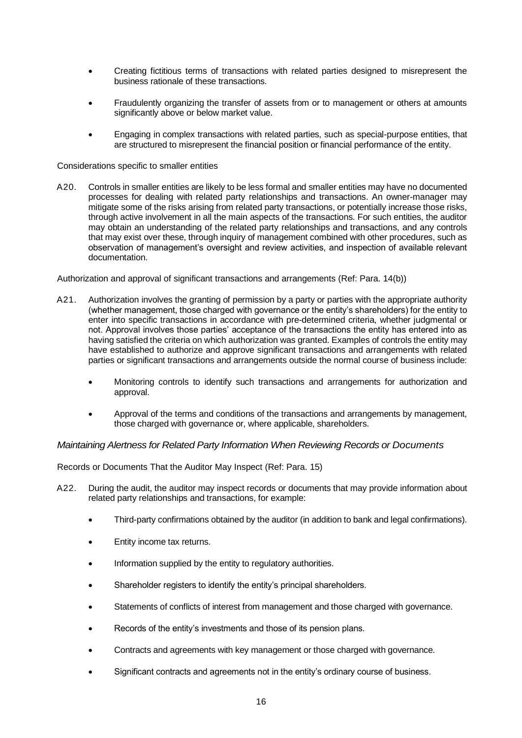- Creating fictitious terms of transactions with related parties designed to misrepresent the business rationale of these transactions.
- Fraudulently organizing the transfer of assets from or to management or others at amounts significantly above or below market value.
- Engaging in complex transactions with related parties, such as special-purpose entities, that are structured to misrepresent the financial position or financial performance of the entity.

Considerations specific to smaller entities

A20. Controls in smaller entities are likely to be less formal and smaller entities may have no documented processes for dealing with related party relationships and transactions. An owner-manager may mitigate some of the risks arising from related party transactions, or potentially increase those risks, through active involvement in all the main aspects of the transactions. For such entities, the auditor may obtain an understanding of the related party relationships and transactions, and any controls that may exist over these, through inquiry of management combined with other procedures, such as observation of management's oversight and review activities, and inspection of available relevant documentation.

Authorization and approval of significant transactions and arrangements (Ref: Para. 14(b))

- A21. Authorization involves the granting of permission by a party or parties with the appropriate authority (whether management, those charged with governance or the entity's shareholders) for the entity to enter into specific transactions in accordance with pre-determined criteria, whether judgmental or not. Approval involves those parties' acceptance of the transactions the entity has entered into as having satisfied the criteria on which authorization was granted. Examples of controls the entity may have established to authorize and approve significant transactions and arrangements with related parties or significant transactions and arrangements outside the normal course of business include:
	- Monitoring controls to identify such transactions and arrangements for authorization and approval.
	- Approval of the terms and conditions of the transactions and arrangements by management, those charged with governance or, where applicable, shareholders.

### *Maintaining Alertness for Related Party Information When Reviewing Records or Documents*

Records or Documents That the Auditor May Inspect (Ref: Para. 15)

- A22. During the audit, the auditor may inspect records or documents that may provide information about related party relationships and transactions, for example:
	- Third-party confirmations obtained by the auditor (in addition to bank and legal confirmations).
	- Entity income tax returns.
	- Information supplied by the entity to regulatory authorities.
	- Shareholder registers to identify the entity's principal shareholders.
	- Statements of conflicts of interest from management and those charged with governance.
	- Records of the entity's investments and those of its pension plans.
	- Contracts and agreements with key management or those charged with governance.
	- Significant contracts and agreements not in the entity's ordinary course of business.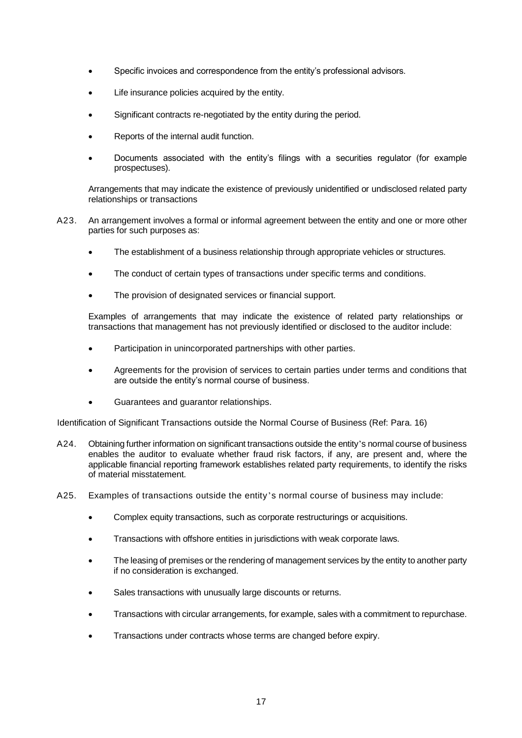- Specific invoices and correspondence from the entity's professional advisors.
- Life insurance policies acquired by the entity.
- Significant contracts re-negotiated by the entity during the period.
- Reports of the internal audit function.
- Documents associated with the entity's filings with a securities regulator (for example prospectuses).

Arrangements that may indicate the existence of previously unidentified or undisclosed related party relationships or transactions

- A23. An arrangement involves a formal or informal agreement between the entity and one or more other parties for such purposes as:
	- The establishment of a business relationship through appropriate vehicles or structures.
	- The conduct of certain types of transactions under specific terms and conditions.
	- The provision of designated services or financial support.

Examples of arrangements that may indicate the existence of related party relationships or transactions that management has not previously identified or disclosed to the auditor include:

- Participation in unincorporated partnerships with other parties.
- Agreements for the provision of services to certain parties under terms and conditions that are outside the entity's normal course of business.
- Guarantees and guarantor relationships.

Identification of Significant Transactions outside the Normal Course of Business (Ref: Para. 16)

- A24. Obtaining further information on significant transactions outside the entity's normal course of business enables the auditor to evaluate whether fraud risk factors, if any, are present and, where the applicable financial reporting framework establishes related party requirements, to identify the risks of material misstatement.
- A25. Examples of transactions outside the entity's normal course of business may include:
	- Complex equity transactions, such as corporate restructurings or acquisitions.
	- Transactions with offshore entities in jurisdictions with weak corporate laws.
	- The leasing of premises or the rendering of management services by the entity to another party if no consideration is exchanged.
	- Sales transactions with unusually large discounts or returns.
	- Transactions with circular arrangements, for example, sales with a commitment to repurchase.
	- Transactions under contracts whose terms are changed before expiry.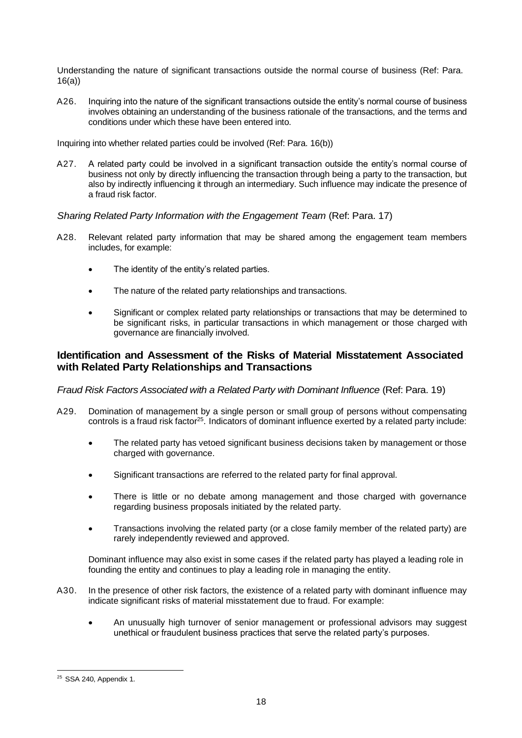Understanding the nature of significant transactions outside the normal course of business (Ref: Para. 16(a))

A26. Inquiring into the nature of the significant transactions outside the entity's normal course of business involves obtaining an understanding of the business rationale of the transactions, and the terms and conditions under which these have been entered into.

Inquiring into whether related parties could be involved (Ref: Para. 16(b))

A27. A related party could be involved in a significant transaction outside the entity's normal course of business not only by directly influencing the transaction through being a party to the transaction, but also by indirectly influencing it through an intermediary. Such influence may indicate the presence of a fraud risk factor.

#### *Sharing Related Party Information with the Engagement Team* (Ref: Para. 17)

- A28. Relevant related party information that may be shared among the engagement team members includes, for example:
	- The identity of the entity's related parties.
	- The nature of the related party relationships and transactions.
	- Significant or complex related party relationships or transactions that may be determined to be significant risks, in particular transactions in which management or those charged with governance are financially involved.

### **Identification and Assessment of the Risks of Material Misstatement Associated with Related Party Relationships and Transactions**

### *Fraud Risk Factors Associated with a Related Party with Dominant Influence (Ref: Para. 19)*

- A29. Domination of management by a single person or small group of persons without compensating controls is a fraud risk factor<sup>25</sup>. Indicators of dominant influence exerted by a related party include:
	- The related party has vetoed significant business decisions taken by management or those charged with governance.
	- Significant transactions are referred to the related party for final approval.
	- There is little or no debate among management and those charged with governance regarding business proposals initiated by the related party.
	- Transactions involving the related party (or a close family member of the related party) are rarely independently reviewed and approved.

Dominant influence may also exist in some cases if the related party has played a leading role in founding the entity and continues to play a leading role in managing the entity.

- A30. In the presence of other risk factors, the existence of a related party with dominant influence may indicate significant risks of material misstatement due to fraud. For example:
	- An unusually high turnover of senior management or professional advisors may suggest unethical or fraudulent business practices that serve the related party's purposes.

<sup>25</sup> SSA 240, Appendix 1.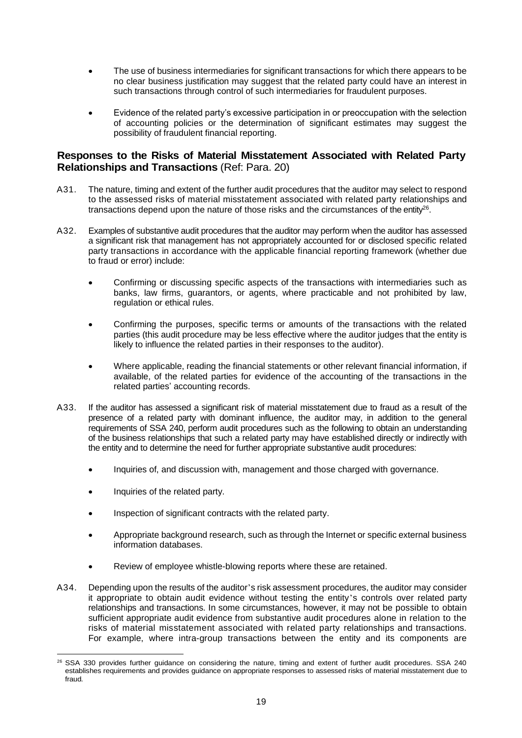- The use of business intermediaries for significant transactions for which there appears to be no clear business justification may suggest that the related party could have an interest in such transactions through control of such intermediaries for fraudulent purposes.
- Evidence of the related party's excessive participation in or preoccupation with the selection of accounting policies or the determination of significant estimates may suggest the possibility of fraudulent financial reporting.

### **Responses to the Risks of Material Misstatement Associated with Related Party Relationships and Transactions** (Ref: Para. 20)

- A31. The nature, timing and extent of the further audit procedures that the auditor may select to respond to the assessed risks of material misstatement associated with related party relationships and transactions depend upon the nature of those risks and the circumstances of the entity<sup>26</sup>.
- A32. Examples of substantive audit procedures that the auditor may perform when the auditor has assessed a significant risk that management has not appropriately accounted for or disclosed specific related party transactions in accordance with the applicable financial reporting framework (whether due to fraud or error) include:
	- Confirming or discussing specific aspects of the transactions with intermediaries such as banks, law firms, guarantors, or agents, where practicable and not prohibited by law, regulation or ethical rules.
	- Confirming the purposes, specific terms or amounts of the transactions with the related parties (this audit procedure may be less effective where the auditor judges that the entity is likely to influence the related parties in their responses to the auditor).
	- Where applicable, reading the financial statements or other relevant financial information, if available, of the related parties for evidence of the accounting of the transactions in the related parties' accounting records.
- A33. If the auditor has assessed a significant risk of material misstatement due to fraud as a result of the presence of a related party with dominant influence, the auditor may, in addition to the general requirements of SSA 240, perform audit procedures such as the following to obtain an understanding of the business relationships that such a related party may have established directly or indirectly with the entity and to determine the need for further appropriate substantive audit procedures:
	- Inquiries of, and discussion with, management and those charged with governance.
	- Inquiries of the related party.
	- Inspection of significant contracts with the related party.
	- Appropriate background research, such as through the Internet or specific external business information databases.
	- Review of employee whistle-blowing reports where these are retained.
- A34. Depending upon the results of the auditor's risk assessment procedures, the auditor may consider it appropriate to obtain audit evidence without testing the entity's controls over related party relationships and transactions. In some circumstances, however, it may not be possible to obtain sufficient appropriate audit evidence from substantive audit procedures alone in relation to the risks of material misstatement associated with related party relationships and transactions. For example, where intra-group transactions between the entity and its components are

<sup>&</sup>lt;sup>26</sup> SSA 330 provides further guidance on considering the nature, timing and extent of further audit procedures. SSA 240 establishes requirements and provides guidance on appropriate responses to assessed risks of material misstatement due to fraud.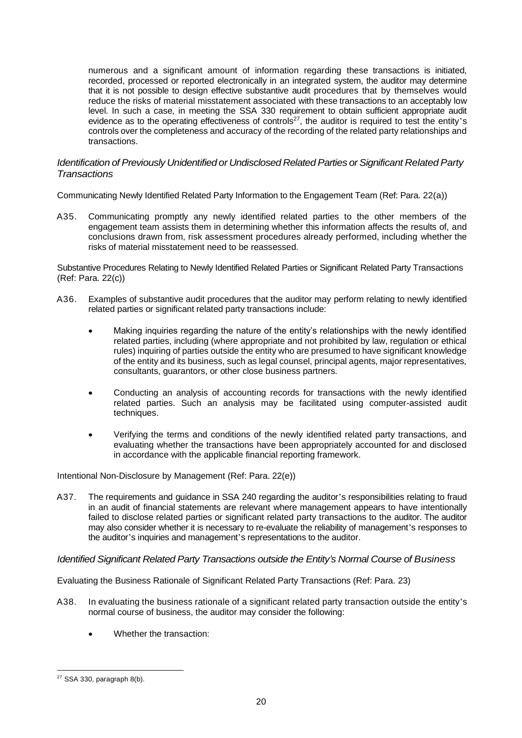numerous and a significant amount of information regarding these transactions is initiated, recorded, processed or reported electronically in an integrated system, the auditor may determine that it is not possible to design effective substantive audit procedures that by themselves would reduce the risks of material misstatement associated with these transactions to an acceptably low level. In such a case, in meeting the SSA 330 requirement to obtain sufficient appropriate audit evidence as to the operating effectiveness of controls<sup>27</sup>, the auditor is required to test the entity's controls over the completeness and accuracy of the recording of the related party relationships and transactions.

### *Identification of Previously Unidentified or Undisclosed Related Parties or Significant Related Party Transactions*

Communicating Newly Identified Related Party Information to the Engagement Team (Ref: Para. 22(a))

A35. Communicating promptly any newly identified related parties to the other members of the engagement team assists them in determining whether this information affects the results of, and conclusions drawn from, risk assessment procedures already performed, including whether the risks of material misstatement need to be reassessed.

Substantive Procedures Relating to Newly Identified Related Parties or Significant Related Party Transactions (Ref: Para. 22(c))

- A36. Examples of substantive audit procedures that the auditor may perform relating to newly identified related parties or significant related party transactions include:
	- Making inquiries regarding the nature of the entity's relationships with the newly identified related parties, including (where appropriate and not prohibited by law, regulation or ethical rules) inquiring of parties outside the entity who are presumed to have significant knowledge of the entity and its business, such as legal counsel, principal agents, major representatives, consultants, guarantors, or other close business partners.
	- Conducting an analysis of accounting records for transactions with the newly identified related parties. Such an analysis may be facilitated using computer-assisted audit techniques.
	- Verifying the terms and conditions of the newly identified related party transactions, and evaluating whether the transactions have been appropriately accounted for and disclosed in accordance with the applicable financial reporting framework.

Intentional Non-Disclosure by Management (Ref: Para. 22(e))

A37. The requirements and guidance in SSA 240 regarding the auditor's responsibilities relating to fraud in an audit of financial statements are relevant where management appears to have intentionally failed to disclose related parties or significant related party transactions to the auditor. The auditor may also consider whether it is necessary to re-evaluate the reliability of management's responses to the auditor's inquiries and management's representations to the auditor.

### *Identified Significant Related Party Transactions outside the Entity's Normal Course of Business*

Evaluating the Business Rationale of Significant Related Party Transactions (Ref: Para. 23)

- A38. In evaluating the business rationale of a significant related party transaction outside the entity's normal course of business, the auditor may consider the following:
	- Whether the transaction:

 $27$  SSA 330, paragraph 8(b).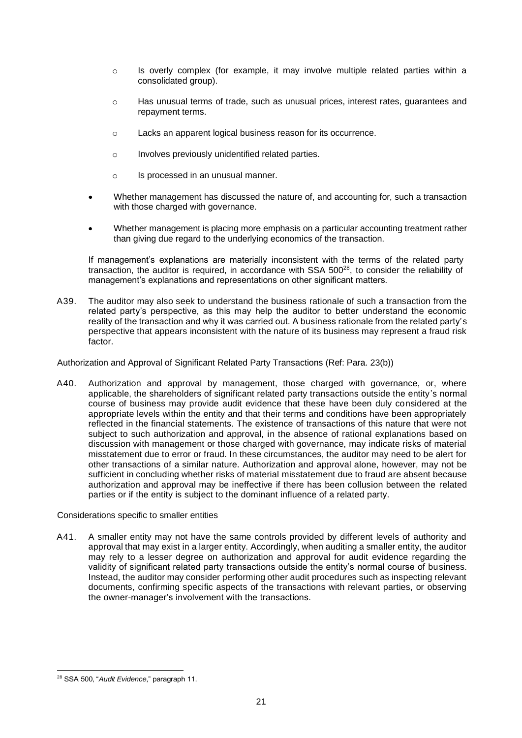- $\circ$  Is overly complex (for example, it may involve multiple related parties within a consolidated group).
- o Has unusual terms of trade, such as unusual prices, interest rates, guarantees and repayment terms.
- o Lacks an apparent logical business reason for its occurrence.
- o Involves previously unidentified related parties.
- o Is processed in an unusual manner.
- Whether management has discussed the nature of, and accounting for, such a transaction with those charged with governance.
- Whether management is placing more emphasis on a particular accounting treatment rather than giving due regard to the underlying economics of the transaction.

If management's explanations are materially inconsistent with the terms of the related party transaction, the auditor is required, in accordance with SSA 500 $^{28}$ , to consider the reliability of management's explanations and representations on other significant matters.

A39. The auditor may also seek to understand the business rationale of such a transaction from the related party's perspective, as this may help the auditor to better understand the economic reality of the transaction and why it was carried out. A business rationale from the related party's perspective that appears inconsistent with the nature of its business may represent a fraud risk factor.

Authorization and Approval of Significant Related Party Transactions (Ref: Para. 23(b))

A40. Authorization and approval by management, those charged with governance, or, where applicable, the shareholders of significant related party transactions outside the entity's normal course of business may provide audit evidence that these have been duly considered at the appropriate levels within the entity and that their terms and conditions have been appropriately reflected in the financial statements. The existence of transactions of this nature that were not subject to such authorization and approval, in the absence of rational explanations based on discussion with management or those charged with governance, may indicate risks of material misstatement due to error or fraud. In these circumstances, the auditor may need to be alert for other transactions of a similar nature. Authorization and approval alone, however, may not be sufficient in concluding whether risks of material misstatement due to fraud are absent because authorization and approval may be ineffective if there has been collusion between the related parties or if the entity is subject to the dominant influence of a related party.

Considerations specific to smaller entities

A41. A smaller entity may not have the same controls provided by different levels of authority and approval that may exist in a larger entity. Accordingly, when auditing a smaller entity, the auditor may rely to a lesser degree on authorization and approval for audit evidence regarding the validity of significant related party transactions outside the entity's normal course of business. Instead, the auditor may consider performing other audit procedures such as inspecting relevant documents, confirming specific aspects of the transactions with relevant parties, or observing the owner-manager's involvement with the transactions.

<sup>28</sup> SSA 500, "*Audit Evidence*," paragraph 11.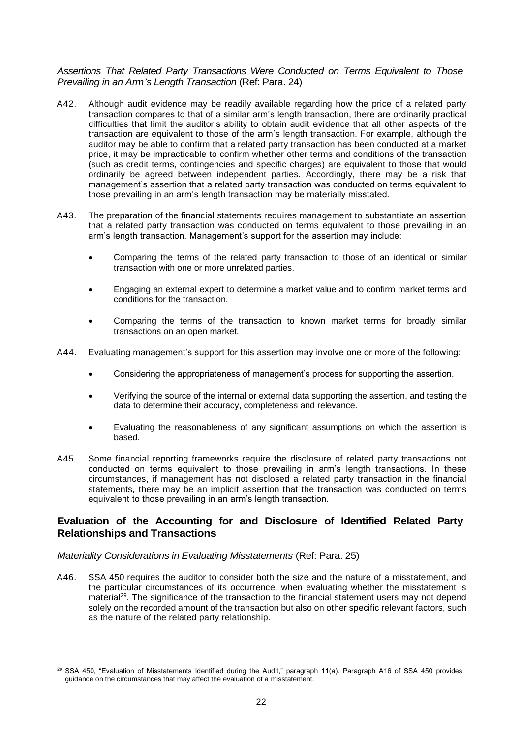### *Assertions That Related Party Transactions Were Conducted on Terms Equivalent to Those Prevailing in an Arm's Length Transaction* (Ref: Para. 24)

- A42. Although audit evidence may be readily available regarding how the price of a related party transaction compares to that of a similar arm's length transaction, there are ordinarily practical difficulties that limit the auditor's ability to obtain audit evidence that all other aspects of the transaction are equivalent to those of the arm's length transaction. For example, although the auditor may be able to confirm that a related party transaction has been conducted at a market price, it may be impracticable to confirm whether other terms and conditions of the transaction (such as credit terms, contingencies and specific charges) are equivalent to those that would ordinarily be agreed between independent parties. Accordingly, there may be a risk that management's assertion that a related party transaction was conducted on terms equivalent to those prevailing in an arm's length transaction may be materially misstated.
- A43. The preparation of the financial statements requires management to substantiate an assertion that a related party transaction was conducted on terms equivalent to those prevailing in an arm's length transaction. Management's support for the assertion may include:
	- Comparing the terms of the related party transaction to those of an identical or similar transaction with one or more unrelated parties.
	- Engaging an external expert to determine a market value and to confirm market terms and conditions for the transaction.
	- Comparing the terms of the transaction to known market terms for broadly similar transactions on an open market.
- A44. Evaluating management's support for this assertion may involve one or more of the following:
	- Considering the appropriateness of management's process for supporting the assertion.
	- Verifying the source of the internal or external data supporting the assertion, and testing the data to determine their accuracy, completeness and relevance.
	- Evaluating the reasonableness of any significant assumptions on which the assertion is based.
- A45. Some financial reporting frameworks require the disclosure of related party transactions not conducted on terms equivalent to those prevailing in arm's length transactions. In these circumstances, if management has not disclosed a related party transaction in the financial statements, there may be an implicit assertion that the transaction was conducted on terms equivalent to those prevailing in an arm's length transaction.

### **Evaluation of the Accounting for and Disclosure of Identified Related Party Relationships and Transactions**

### *Materiality Considerations in Evaluating Misstatements* (Ref: Para. 25)

A46. SSA 450 requires the auditor to consider both the size and the nature of a misstatement, and the particular circumstances of its occurrence, when evaluating whether the misstatement is material<sup>29</sup>. The significance of the transaction to the financial statement users may not depend solely on the recorded amount of the transaction but also on other specific relevant factors, such as the nature of the related party relationship.

<sup>&</sup>lt;sup>29</sup> SSA 450, "Evaluation of Misstatements Identified during the Audit," paragraph 11(a). Paragraph A16 of SSA 450 provides guidance on the circumstances that may affect the evaluation of a misstatement.